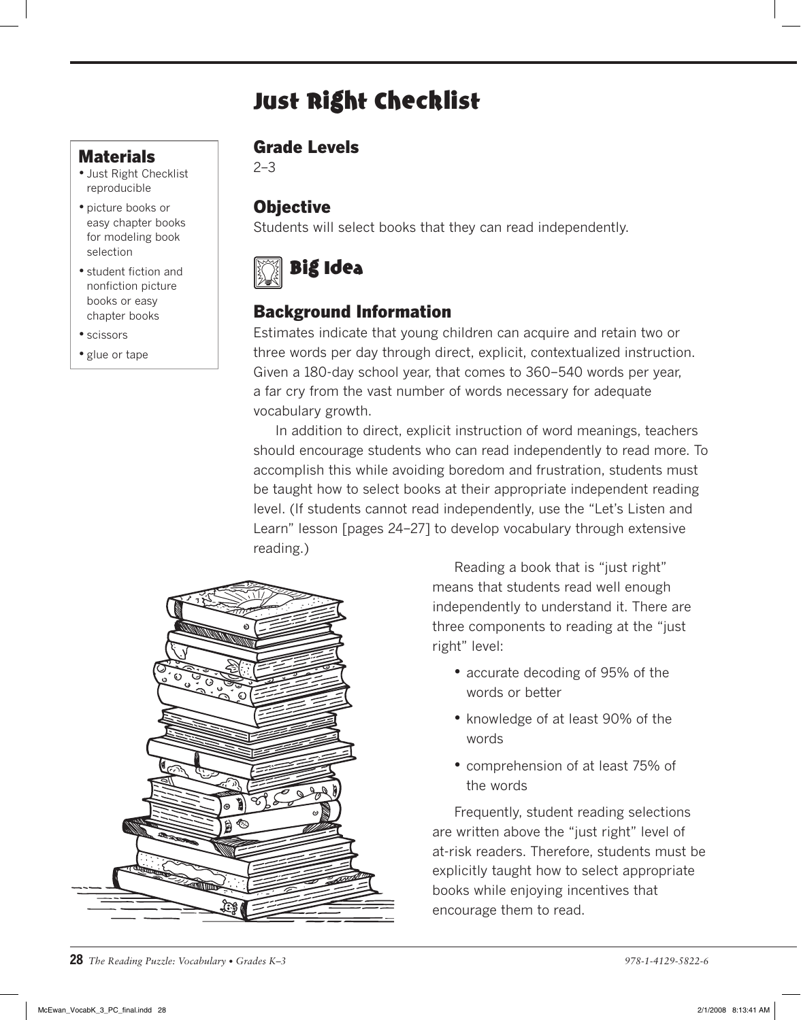# Just Right Checklist

## **Materials**

- Just Right Checklist reproducible
- picture books or easy chapter books for modeling book selection
- student fiction and nonfiction picture books or easy chapter books
- scissors
- glue or tape

#### Grade Levels

2–3

# **Objective**

Students will select books that they can read independently.



# Background Information

Estimates indicate that young children can acquire and retain two or three words per day through direct, explicit, contextualized instruction. Given a 180-day school year, that comes to 360–540 words per year, a far cry from the vast number of words necessary for adequate vocabulary growth.

In addition to direct, explicit instruction of word meanings, teachers should encourage students who can read independently to read more. To accomplish this while avoiding boredom and frustration, students must be taught how to select books at their appropriate independent reading level. (If students cannot read independently, use the "Let's Listen and Learn" lesson [pages 24–27] to develop vocabulary through extensive reading.)



Reading a book that is "just right" means that students read well enough independently to understand it. There are three components to reading at the "just right" level:

- accurate decoding of 95% of the words or better
- knowledge of at least 90% of the words
- comprehension of at least 75% of the words

Frequently, student reading selections are written above the "just right" level of at-risk readers. Therefore, students must be explicitly taught how to select appropriate books while enjoying incentives that encourage them to read.

**28** *The Reading Puzzle: Vocabulary • Grades K–3 978-1-4129-5822-6*